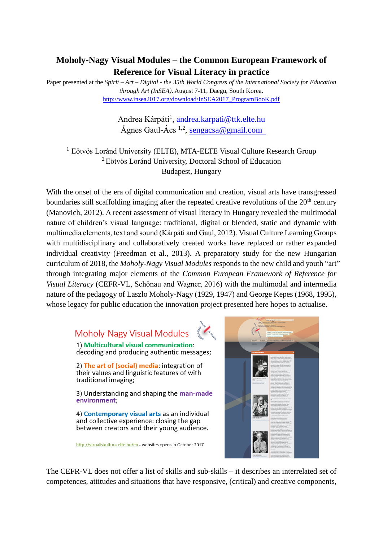## **Moholy-Nagy Visual Modules – the Common European Framework of Reference for Visual Literacy in practice**

Paper presented at the *Spirit – Art – Digital - the 35th World Congress of the International Society for Education through Art (InSEA)*. August 7-11, Daegu, South Korea. [http://www.insea2017.org/download/InSEA2017\\_ProgramBooK.pdf](http://www.insea2017.org/download/InSEA2017_ProgramBooK.pdf)

## <u>Andrea Kárpáti<sup>1</sup>, [andrea.karpati@ttk.elte.hu](mailto:andrea.karpati@ttk.elte.hu)</u> Ágnes Gaul-Ács <sup>1,2</sup>, <u>[sengacsa@gmail.com](mailto:sengacsa@gmail.com)</u>

<sup>1</sup> Eötvös Loránd University (ELTE), MTA-ELTE Visual Culture Research Group <sup>2</sup> Eötvös Loránd University, Doctoral School of Education Budapest, Hungary

With the onset of the era of digital communication and creation, visual arts have transgressed boundaries still scaffolding imaging after the repeated creative revolutions of the  $20<sup>th</sup>$  century (Manovich, 2012). A recent assessment of visual literacy in Hungary revealed the multimodal nature of children's visual language: traditional, digital or blended, static and dynamic with multimedia elements, text and sound (Kárpáti and Gaul, 2012). Visual Culture Learning Groups with multidisciplinary and collaboratively created works have replaced or rather expanded individual creativity (Freedman et al., 2013). A preparatory study for the new Hungarian curriculum of 2018, the *Moholy-Nagy Visual Modules* responds to the new child and youth "art" through integrating major elements of the *Common European Framework of Reference for Visual Literacy* (CEFR-VL, Schönau and Wagner, 2016) with the multimodal and intermedia nature of the pedagogy of Laszlo Moholy-Nagy (1929, 1947) and George Kepes (1968, 1995), whose legacy for public education the innovation project presented here hopes to actualise.

## Moholy-Nagy Visual Modules

1) Multicultural visual communication: decoding and producing authentic messages;

2) The art of (social) media: integration of their values and linguistic features of with traditional imaging:

3) Understanding and shaping the man-made environment:

4) Contemporary visual arts as an individual and collective experience: closing the gap between creators and their young audience.

http://vizualiskultura.elte.hu/en - websites opens in October 2017



The CEFR-VL does not offer a list of skills and sub-skills – it describes an interrelated set of competences, attitudes and situations that have responsive, (critical) and creative components,